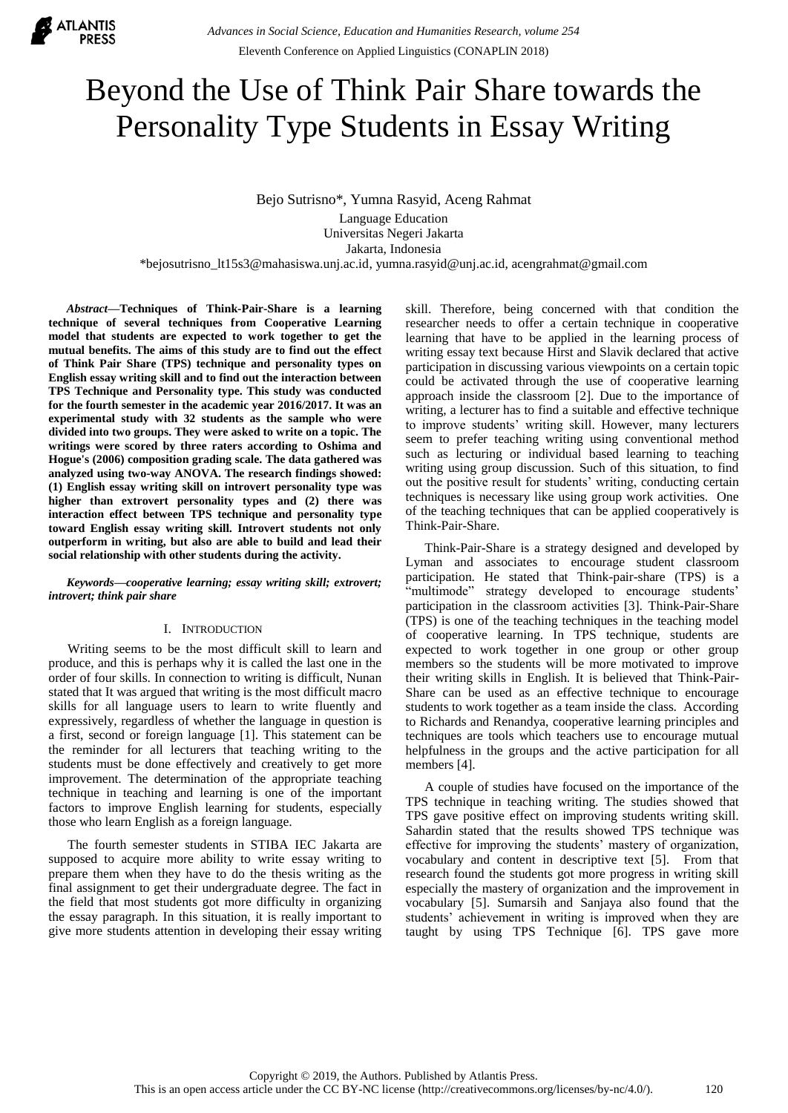

# Beyond the Use of Think Pair Share towards the Personality Type Students in Essay Writing

Bejo Sutrisno\*, Yumna Rasyid, Aceng Rahmat

Language Education Universitas Negeri Jakarta Jakarta, Indonesia

\*bejosutrisno\_lt15s3@mahasiswa.unj.ac.id, yumna.rasyid@unj.ac.id, acengrahmat@gmail.com

*Abstract***—Techniques of Think-Pair-Share is a learning technique of several techniques from Cooperative Learning model that students are expected to work together to get the mutual benefits. The aims of this study are to find out the effect of Think Pair Share (TPS) technique and personality types on English essay writing skill and to find out the interaction between TPS Technique and Personality type. This study was conducted for the fourth semester in the academic year 2016/2017. It was an experimental study with 32 students as the sample who were divided into two groups. They were asked to write on a topic. The writings were scored by three raters according to Oshima and Hogue's (2006) composition grading scale. The data gathered was analyzed using two-way ANOVA. The research findings showed: (1) English essay writing skill on introvert personality type was higher than extrovert personality types and (2) there was interaction effect between TPS technique and personality type toward English essay writing skill. Introvert students not only outperform in writing, but also are able to build and lead their social relationship with other students during the activity.**

*Keywords—cooperative learning; essay writing skill; extrovert; introvert; think pair share*

## I. INTRODUCTION

Writing seems to be the most difficult skill to learn and produce, and this is perhaps why it is called the last one in the order of four skills. In connection to writing is difficult, Nunan stated that It was argued that writing is the most difficult macro skills for all language users to learn to write fluently and expressively, regardless of whether the language in question is a first, second or foreign language [1]. This statement can be the reminder for all lecturers that teaching writing to the students must be done effectively and creatively to get more improvement. The determination of the appropriate teaching technique in teaching and learning is one of the important factors to improve English learning for students, especially those who learn English as a foreign language.

The fourth semester students in STIBA IEC Jakarta are supposed to acquire more ability to write essay writing to prepare them when they have to do the thesis writing as the final assignment to get their undergraduate degree. The fact in the field that most students got more difficulty in organizing the essay paragraph. In this situation, it is really important to give more students attention in developing their essay writing skill. Therefore, being concerned with that condition the researcher needs to offer a certain technique in cooperative learning that have to be applied in the learning process of writing essay text because Hirst and Slavik declared that active participation in discussing various viewpoints on a certain topic could be activated through the use of cooperative learning approach inside the classroom [2]. Due to the importance of writing, a lecturer has to find a suitable and effective technique to improve students' writing skill. However, many lecturers seem to prefer teaching writing using conventional method such as lecturing or individual based learning to teaching writing using group discussion. Such of this situation, to find out the positive result for students' writing, conducting certain techniques is necessary like using group work activities. One of the teaching techniques that can be applied cooperatively is Think-Pair-Share.

Think-Pair-Share is a strategy designed and developed by Lyman and associates to encourage student classroom participation. He stated that Think-pair-share (TPS) is a "multimode" strategy developed to encourage students' participation in the classroom activities [3]. Think-Pair-Share (TPS) is one of the teaching techniques in the teaching model of cooperative learning. In TPS technique, students are expected to work together in one group or other group members so the students will be more motivated to improve their writing skills in English. It is believed that Think-Pair-Share can be used as an effective technique to encourage students to work together as a team inside the class. According to Richards and Renandya, cooperative learning principles and techniques are tools which teachers use to encourage mutual helpfulness in the groups and the active participation for all members [4].

A couple of studies have focused on the importance of the TPS technique in teaching writing. The studies showed that TPS gave positive effect on improving students writing skill. Sahardin stated that the results showed TPS technique was effective for improving the students' mastery of organization, vocabulary and content in descriptive text [5]. From that research found the students got more progress in writing skill especially the mastery of organization and the improvement in vocabulary [5]. Sumarsih and Sanjaya also found that the students' achievement in writing is improved when they are taught by using TPS Technique [6]. TPS gave more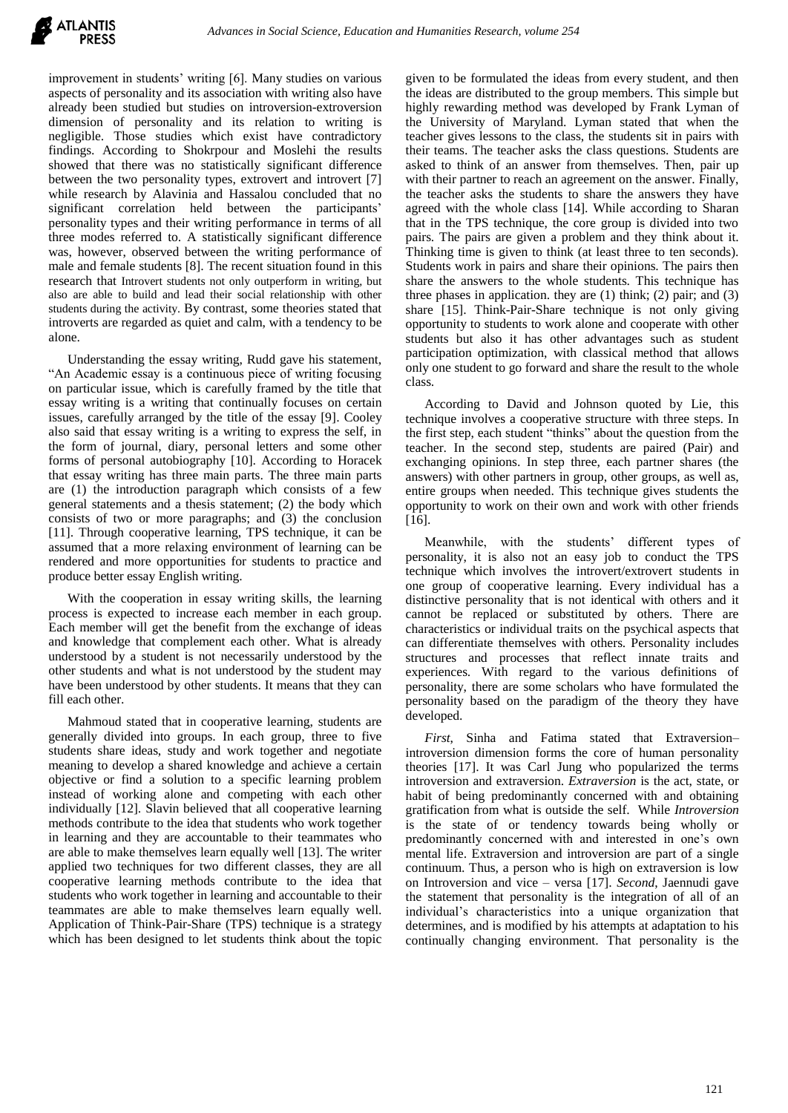

improvement in students' writing [6]. Many studies on various aspects of personality and its association with writing also have already been studied but studies on introversion-extroversion dimension of personality and its relation to writing is negligible. Those studies which exist have contradictory findings. According to Shokrpour and Moslehi the results showed that there was no statistically significant difference between the two personality types, extrovert and introvert [7] while research by Alavinia and Hassalou concluded that no significant correlation held between the participants' personality types and their writing performance in terms of all three modes referred to. A statistically significant difference was, however, observed between the writing performance of male and female students [8]. The recent situation found in this research that Introvert students not only outperform in writing, but also are able to build and lead their social relationship with other students during the activity. By contrast, some theories stated that introverts are regarded as quiet and calm, with a tendency to be alone.

Understanding the essay writing, Rudd gave his statement, "An Academic essay is a continuous piece of writing focusing on particular issue, which is carefully framed by the title that essay writing is a writing that continually focuses on certain issues, carefully arranged by the title of the essay [9]. Cooley also said that essay writing is a writing to express the self, in the form of journal, diary, personal letters and some other forms of personal autobiography [10]. According to Horacek that essay writing has three main parts. The three main parts are (1) the introduction paragraph which consists of a few general statements and a thesis statement; (2) the body which consists of two or more paragraphs; and (3) the conclusion [11]. Through cooperative learning, TPS technique, it can be assumed that a more relaxing environment of learning can be rendered and more opportunities for students to practice and produce better essay English writing.

With the cooperation in essay writing skills, the learning process is expected to increase each member in each group. Each member will get the benefit from the exchange of ideas and knowledge that complement each other. What is already understood by a student is not necessarily understood by the other students and what is not understood by the student may have been understood by other students. It means that they can fill each other.

Mahmoud stated that in cooperative learning, students are generally divided into groups. In each group, three to five students share ideas, study and work together and negotiate meaning to develop a shared knowledge and achieve a certain objective or find a solution to a specific learning problem instead of working alone and competing with each other individually [12]. Slavin believed that all cooperative learning methods contribute to the idea that students who work together in learning and they are accountable to their teammates who are able to make themselves learn equally well [13]. The writer applied two techniques for two different classes, they are all cooperative learning methods contribute to the idea that students who work together in learning and accountable to their teammates are able to make themselves learn equally well. Application of Think-Pair-Share (TPS) technique is a strategy which has been designed to let students think about the topic

given to be formulated the ideas from every student, and then the ideas are distributed to the group members. This simple but highly rewarding method was developed by Frank Lyman of the University of Maryland. Lyman stated that when the teacher gives lessons to the class, the students sit in pairs with their teams. The teacher asks the class questions. Students are asked to think of an answer from themselves. Then, pair up with their partner to reach an agreement on the answer. Finally, the teacher asks the students to share the answers they have agreed with the whole class [14]. While according to Sharan that in the TPS technique, the core group is divided into two pairs. The pairs are given a problem and they think about it. Thinking time is given to think (at least three to ten seconds). Students work in pairs and share their opinions. The pairs then share the answers to the whole students. This technique has three phases in application. they are  $(1)$  think;  $(2)$  pair; and  $(3)$ share [15]. Think-Pair-Share technique is not only giving opportunity to students to work alone and cooperate with other students but also it has other advantages such as student participation optimization, with classical method that allows only one student to go forward and share the result to the whole class.

According to David and Johnson quoted by Lie, this technique involves a cooperative structure with three steps. In the first step, each student "thinks" about the question from the teacher. In the second step, students are paired (Pair) and exchanging opinions. In step three, each partner shares (the answers) with other partners in group, other groups, as well as, entire groups when needed. This technique gives students the opportunity to work on their own and work with other friends  $[16]$ .

Meanwhile, with the students' different types of personality, it is also not an easy job to conduct the TPS technique which involves the introvert/extrovert students in one group of cooperative learning. Every individual has a distinctive personality that is not identical with others and it cannot be replaced or substituted by others. There are characteristics or individual traits on the psychical aspects that can differentiate themselves with others. Personality includes structures and processes that reflect innate traits and experiences. With regard to the various definitions of personality, there are some scholars who have formulated the personality based on the paradigm of the theory they have developed.

*First*, Sinha and Fatima stated that Extraversion– introversion dimension forms the core of human personality theories [17]. It was Carl Jung who popularized the terms introversion and extraversion. *Extraversion* is the act, state, or habit of being predominantly concerned with and obtaining gratification from what is outside the self. While *Introversion*  is the state of or tendency towards being wholly or predominantly concerned with and interested in one's own mental life. Extraversion and introversion are part of a single continuum. Thus, a person who is high on extraversion is low on Introversion and vice – versa [17]. *Second*, Jaennudi gave the statement that personality is the integration of all of an individual's characteristics into a unique organization that determines, and is modified by his attempts at adaptation to his continually changing environment. That personality is the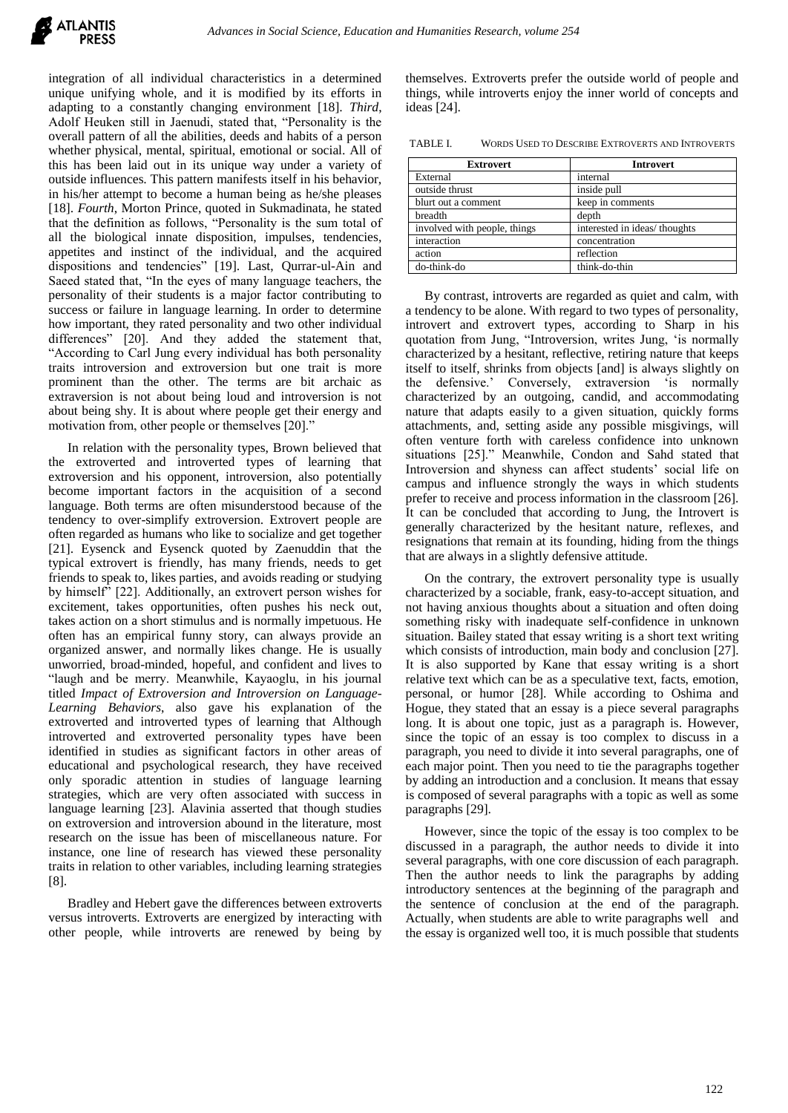

integration of all individual characteristics in a determined unique unifying whole, and it is modified by its efforts in adapting to a constantly changing environment [18]. *Third*, Adolf Heuken still in Jaenudi, stated that, "Personality is the overall pattern of all the abilities, deeds and habits of a person whether physical, mental, spiritual, emotional or social. All of this has been laid out in its unique way under a variety of outside influences. This pattern manifests itself in his behavior, in his/her attempt to become a human being as he/she pleases [18]. *Fourth*, Morton Prince, quoted in Sukmadinata, he stated that the definition as follows, "Personality is the sum total of all the biological innate disposition, impulses, tendencies, appetites and instinct of the individual, and the acquired dispositions and tendencies" [19]. Last, Qurrar-ul-Ain and Saeed stated that, "In the eyes of many language teachers, the personality of their students is a major factor contributing to success or failure in language learning. In order to determine how important, they rated personality and two other individual differences" [20]. And they added the statement that, "According to Carl Jung every individual has both personality traits introversion and extroversion but one trait is more prominent than the other. The terms are bit archaic as extraversion is not about being loud and introversion is not about being shy. It is about where people get their energy and motivation from, other people or themselves [20]."

In relation with the personality types, Brown believed that the extroverted and introverted types of learning that extroversion and his opponent, introversion, also potentially become important factors in the acquisition of a second language. Both terms are often misunderstood because of the tendency to over-simplify extroversion. Extrovert people are often regarded as humans who like to socialize and get together [21]. Eysenck and Eysenck quoted by Zaenuddin that the typical extrovert is friendly, has many friends, needs to get friends to speak to, likes parties, and avoids reading or studying by himself" [22]. Additionally, an extrovert person wishes for excitement, takes opportunities, often pushes his neck out, takes action on a short stimulus and is normally impetuous. He often has an empirical funny story, can always provide an organized answer, and normally likes change. He is usually unworried, broad-minded, hopeful, and confident and lives to "laugh and be merry. Meanwhile, Kayaoglu, in his journal titled *Impact of Extroversion and Introversion on Language-Learning Behaviors*, also gave his explanation of the extroverted and introverted types of learning that Although introverted and extroverted personality types have been identified in studies as significant factors in other areas of educational and psychological research, they have received only sporadic attention in studies of language learning strategies, which are very often associated with success in language learning [23]. Alavinia asserted that though studies on extroversion and introversion abound in the literature, most research on the issue has been of miscellaneous nature. For instance, one line of research has viewed these personality traits in relation to other variables, including learning strategies [8].

Bradley and Hebert gave the differences between extroverts versus introverts. Extroverts are energized by interacting with other people, while introverts are renewed by being by

themselves. Extroverts prefer the outside world of people and things, while introverts enjoy the inner world of concepts and ideas [24].

TABLE I. WORDS USED TO DESCRIBE EXTROVERTS AND INTROVERTS

| <b>Extrovert</b>             | <b>Introvert</b>             |  |  |
|------------------------------|------------------------------|--|--|
| External                     | internal                     |  |  |
| outside thrust               | inside pull                  |  |  |
| blurt out a comment          | keep in comments             |  |  |
| breadth                      | depth                        |  |  |
| involved with people, things | interested in ideas/thoughts |  |  |
| interaction                  | concentration                |  |  |
| action                       | reflection                   |  |  |
| do-think-do                  | think-do-thin                |  |  |

By contrast, introverts are regarded as quiet and calm, with a tendency to be alone. With regard to two types of personality, introvert and extrovert types, according to Sharp in his quotation from Jung, "Introversion, writes Jung, 'is normally characterized by a hesitant, reflective, retiring nature that keeps itself to itself, shrinks from objects [and] is always slightly on the defensive.' Conversely, extraversion 'is normally characterized by an outgoing, candid, and accommodating nature that adapts easily to a given situation, quickly forms attachments, and, setting aside any possible misgivings, will often venture forth with careless confidence into unknown situations [25]." Meanwhile, Condon and Sahd stated that Introversion and shyness can affect students' social life on campus and influence strongly the ways in which students prefer to receive and process information in the classroom [26]. It can be concluded that according to Jung, the Introvert is generally characterized by the hesitant nature, reflexes, and resignations that remain at its founding, hiding from the things that are always in a slightly defensive attitude.

On the contrary, the extrovert personality type is usually characterized by a sociable, frank, easy-to-accept situation, and not having anxious thoughts about a situation and often doing something risky with inadequate self-confidence in unknown situation. Bailey stated that essay writing is a short text writing which consists of introduction, main body and conclusion [27]. It is also supported by Kane that essay writing is a short relative text which can be as a speculative text, facts, emotion, personal, or humor [28]. While according to Oshima and Hogue, they stated that an essay is a piece several paragraphs long. It is about one topic, just as a paragraph is. However, since the topic of an essay is too complex to discuss in a paragraph, you need to divide it into several paragraphs, one of each major point. Then you need to tie the paragraphs together by adding an introduction and a conclusion. It means that essay is composed of several paragraphs with a topic as well as some paragraphs [29].

However, since the topic of the essay is too complex to be discussed in a paragraph, the author needs to divide it into several paragraphs, with one core discussion of each paragraph. Then the author needs to link the paragraphs by adding introductory sentences at the beginning of the paragraph and the sentence of conclusion at the end of the paragraph. Actually, when students are able to write paragraphs well and the essay is organized well too, it is much possible that students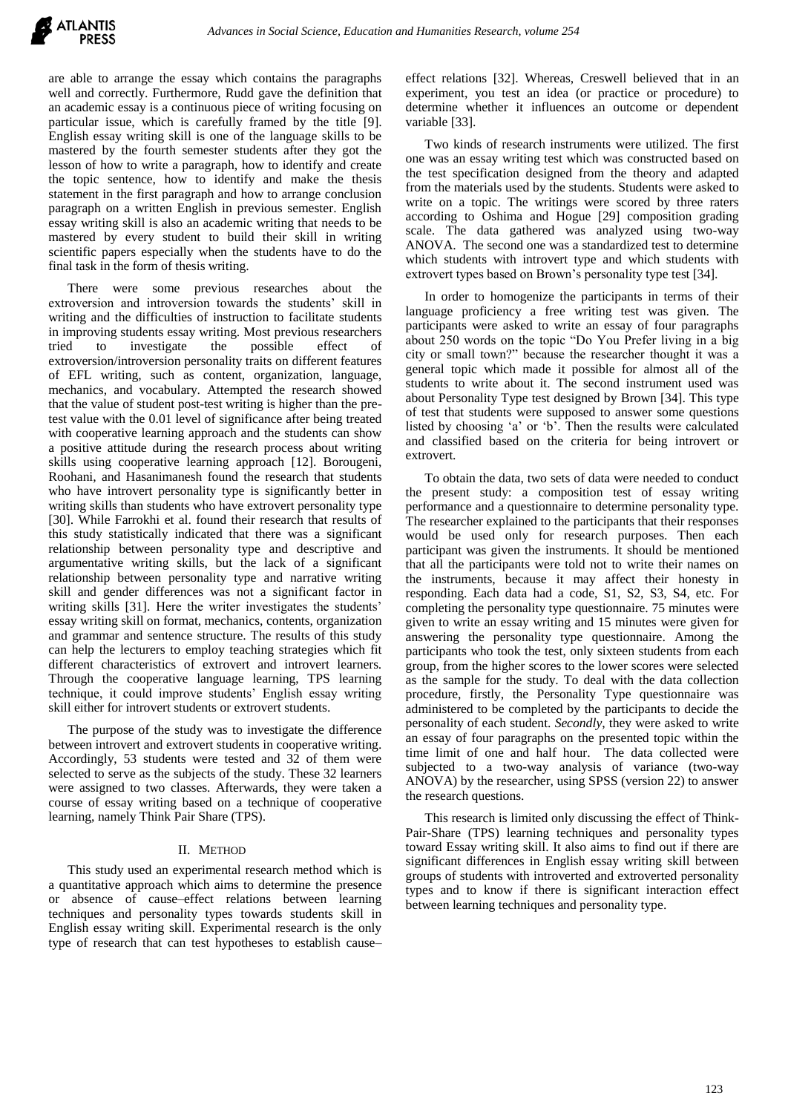

are able to arrange the essay which contains the paragraphs well and correctly. Furthermore, Rudd gave the definition that an academic essay is a continuous piece of writing focusing on particular issue, which is carefully framed by the title [9]. English essay writing skill is one of the language skills to be mastered by the fourth semester students after they got the lesson of how to write a paragraph, how to identify and create the topic sentence, how to identify and make the thesis statement in the first paragraph and how to arrange conclusion paragraph on a written English in previous semester. English essay writing skill is also an academic writing that needs to be mastered by every student to build their skill in writing scientific papers especially when the students have to do the final task in the form of thesis writing.

There were some previous researches about the extroversion and introversion towards the students' skill in writing and the difficulties of instruction to facilitate students in improving students essay writing. Most previous researchers tried to investigate the possible effect of extroversion/introversion personality traits on different features of EFL writing, such as content, organization, language, mechanics, and vocabulary. Attempted the research showed that the value of student post-test writing is higher than the pretest value with the 0.01 level of significance after being treated with cooperative learning approach and the students can show a positive attitude during the research process about writing skills using cooperative learning approach [12]. Borougeni, Roohani, and Hasanimanesh found the research that students who have introvert personality type is significantly better in writing skills than students who have extrovert personality type [30]. While Farrokhi et al. found their research that results of this study statistically indicated that there was a significant relationship between personality type and descriptive and argumentative writing skills, but the lack of a significant relationship between personality type and narrative writing skill and gender differences was not a significant factor in writing skills [31]. Here the writer investigates the students' essay writing skill on format, mechanics, contents, organization and grammar and sentence structure. The results of this study can help the lecturers to employ teaching strategies which fit different characteristics of extrovert and introvert learners. Through the cooperative language learning, TPS learning technique, it could improve students' English essay writing skill either for introvert students or extrovert students.

The purpose of the study was to investigate the difference between introvert and extrovert students in cooperative writing. Accordingly, 53 students were tested and 32 of them were selected to serve as the subjects of the study. These 32 learners were assigned to two classes. Afterwards, they were taken a course of essay writing based on a technique of cooperative learning, namely Think Pair Share (TPS).

### II. METHOD

This study used an experimental research method which is a quantitative approach which aims to determine the presence or absence of cause–effect relations between learning techniques and personality types towards students skill in English essay writing skill. Experimental research is the only type of research that can test hypotheses to establish cause–

effect relations [32]. Whereas, Creswell believed that in an experiment, you test an idea (or practice or procedure) to determine whether it influences an outcome or dependent variable [33].

Two kinds of research instruments were utilized. The first one was an essay writing test which was constructed based on the test specification designed from the theory and adapted from the materials used by the students. Students were asked to write on a topic. The writings were scored by three raters according to Oshima and Hogue [29] composition grading scale. The data gathered was analyzed using two-way ANOVA. The second one was a standardized test to determine which students with introvert type and which students with extrovert types based on Brown's personality type test [34].

In order to homogenize the participants in terms of their language proficiency a free writing test was given. The participants were asked to write an essay of four paragraphs about 250 words on the topic "Do You Prefer living in a big city or small town?" because the researcher thought it was a general topic which made it possible for almost all of the students to write about it. The second instrument used was about Personality Type test designed by Brown [34]. This type of test that students were supposed to answer some questions listed by choosing 'a' or 'b'. Then the results were calculated and classified based on the criteria for being introvert or extrovert.

To obtain the data, two sets of data were needed to conduct the present study: a composition test of essay writing performance and a questionnaire to determine personality type. The researcher explained to the participants that their responses would be used only for research purposes. Then each participant was given the instruments. It should be mentioned that all the participants were told not to write their names on the instruments, because it may affect their honesty in responding. Each data had a code, S1, S2, S3, S4, etc. For completing the personality type questionnaire. 75 minutes were given to write an essay writing and 15 minutes were given for answering the personality type questionnaire. Among the participants who took the test, only sixteen students from each group, from the higher scores to the lower scores were selected as the sample for the study. To deal with the data collection procedure, firstly, the Personality Type questionnaire was administered to be completed by the participants to decide the personality of each student. *Secondly*, they were asked to write an essay of four paragraphs on the presented topic within the time limit of one and half hour. The data collected were subjected to a two-way analysis of variance (two-way ANOVA) by the researcher, using SPSS (version 22) to answer the research questions.

This research is limited only discussing the effect of Think-Pair-Share (TPS) learning techniques and personality types toward Essay writing skill. It also aims to find out if there are significant differences in English essay writing skill between groups of students with introverted and extroverted personality types and to know if there is significant interaction effect between learning techniques and personality type.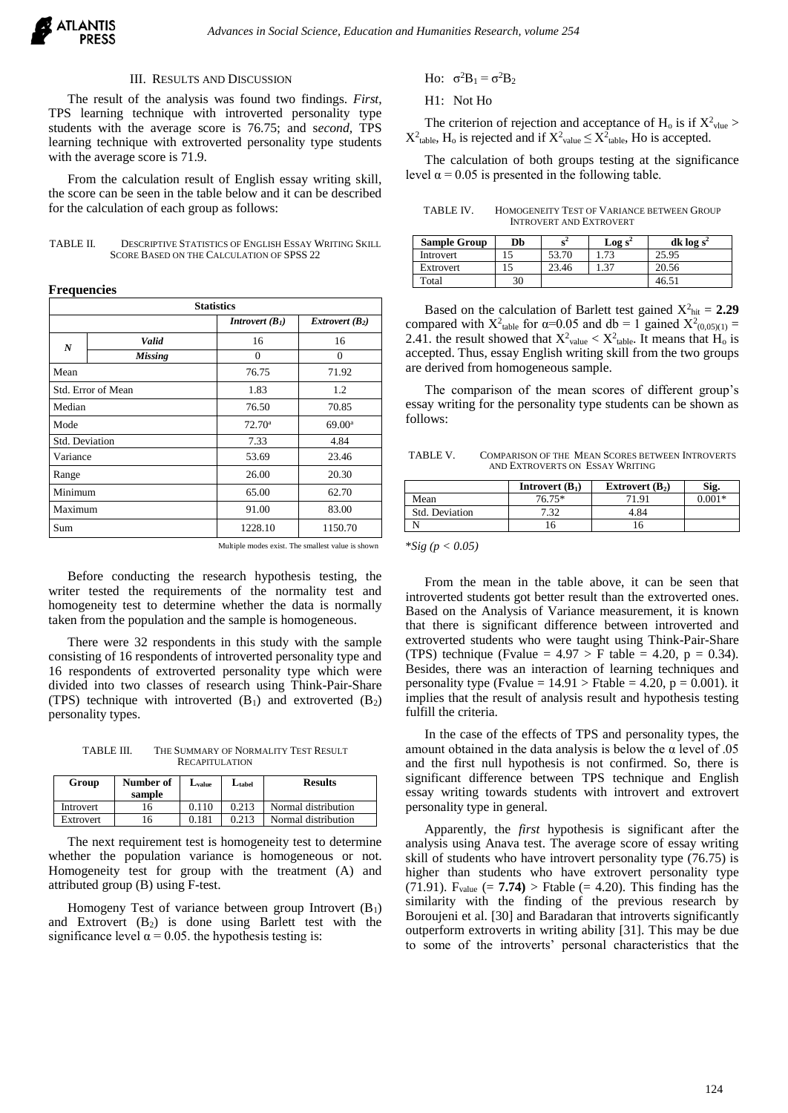

## III. RESULTS AND DISCUSSION

The result of the analysis was found two findings. *First*, TPS learning technique with introverted personality type students with the average score is 76.75; and s*econd,* TPS learning technique with extroverted personality type students with the average score is 71.9.

From the calculation result of English essay writing skill, the score can be seen in the table below and it can be described for the calculation of each group as follows:

| TABLE II. | <b>DESCRIPTIVE STATISTICS OF ENGLISH ESSAY WRITING SKILL</b> |
|-----------|--------------------------------------------------------------|
|           | SCORE BASED ON THE CALCULATION OF SPSS 22                    |

#### **Frequencies**

| <b>Statistics</b>  |                |                          |                   |  |  |
|--------------------|----------------|--------------------------|-------------------|--|--|
|                    |                | <b>Introvert</b> $(B_1)$ | Extrovert $(B_2)$ |  |  |
| N                  | Valid          | 16                       | 16                |  |  |
|                    | <b>Missing</b> | $\theta$                 | $\Omega$          |  |  |
| Mean               |                | 76.75                    | 71.92             |  |  |
| Std. Error of Mean |                | 1.83                     | 1.2               |  |  |
| Median             |                | 76.50                    | 70.85             |  |  |
| Mode               |                | $72.70^{\circ}$          | $69.00^{\circ}$   |  |  |
| Std. Deviation     |                | 7.33                     | 4.84              |  |  |
| Variance           | 53.69          |                          | 23.46             |  |  |
| Range              |                | 26.00                    | 20.30             |  |  |
| Minimum            |                | 65.00                    | 62.70             |  |  |
| Maximum            |                | 91.00                    | 83.00             |  |  |
| Sum                |                | 1228.10                  | 1150.70           |  |  |

Multiple modes exist. The smallest value is shown

Before conducting the research hypothesis testing, the writer tested the requirements of the normality test and homogeneity test to determine whether the data is normally taken from the population and the sample is homogeneous.

There were 32 respondents in this study with the sample consisting of 16 respondents of introverted personality type and 16 respondents of extroverted personality type which were divided into two classes of research using Think-Pair-Share (TPS) technique with introverted  $(B_1)$  and extroverted  $(B_2)$ personality types.

TABLE III. THE SUMMARY OF NORMALITY TEST RESULT RECAPITULATION

| Group     | Number of<br>sample | $L_{\rm value}$ | $L_{\text{table}}$ | <b>Results</b>      |
|-----------|---------------------|-----------------|--------------------|---------------------|
| Introvert | 16                  | 0.110           | 0.213              | Normal distribution |
| Extrovert | 16                  | 0.181           | 0.213              | Normal distribution |

The next requirement test is homogeneity test to determine whether the population variance is homogeneous or not. Homogeneity test for group with the treatment (A) and attributed group (B) using F-test.

Homogeny Test of variance between group Introvert  $(B_1)$ and Extrovert  $(B_2)$  is done using Barlett test with the significance level  $\alpha$  = 0.05. the hypothesis testing is:

Ho:  $\sigma^2B_1 = \sigma^2B_2$ 

H1: Not Ho

The criterion of rejection and acceptance of  $H_0$  is if  $X^2_{\text{value}}$  >  $X^2$ <sub>table</sub>, H<sub>o</sub> is rejected and if  $X^2$ <sub>value</sub>  $\leq X^2$ <sub>table</sub>, Ho is accepted.

The calculation of both groups testing at the significance level  $\alpha$  = 0.05 is presented in the following table.

TABLE IV. HOMOGENEITY TEST OF VARIANCE BETWEEN GROUP INTROVERT AND EXTROVERT

| <b>Sample Group</b> | Db | $\mathbf{C}$ | Log $s^2$ | dk $log s^2$ |
|---------------------|----|--------------|-----------|--------------|
| Introvert           |    | 53.70        |           | 25.95        |
| Extrovert           |    | 23.46        |           | 20.56        |
| Total               | 30 |              |           | 46.5         |

Based on the calculation of Barlett test gained  $X^2_{\text{hit}} = 2.29$ compared with  $X^2$ <sub>table</sub> for  $\alpha=0.05$  and db = 1 gained  $X^2_{(0,0.05)(1)}$  = 2.41. the result showed that  $X^2_{value} < X^2_{table}$ . It means that  $H_0$  is accepted. Thus, essay English writing skill from the two groups are derived from homogeneous sample.

The comparison of the mean scores of different group's essay writing for the personality type students can be shown as follows:

TABLE V. COMPARISON OF THE MEAN SCORES BETWEEN INTROVERTS AND EXTROVERTS ON ESSAY WRITING

|                | <b>Introvert</b> $(B_1)$ | Extrovert $(B_2)$ | Sig.     |
|----------------|--------------------------|-------------------|----------|
| Mean           | 76.75*                   | 71 Q1             | $0.001*$ |
| Std. Deviation | 7.32                     | 4.84              |          |
|                | . 0                      | ۱O                |          |

\**Sig (p < 0.05)*

From the mean in the table above, it can be seen that introverted students got better result than the extroverted ones. Based on the Analysis of Variance measurement, it is known that there is significant difference between introverted and extroverted students who were taught using Think-Pair-Share (TPS) technique (Fvalue =  $4.97 > F$  table = 4.20, p = 0.34). Besides, there was an interaction of learning techniques and personality type (Fvalue =  $14.91$  > Ftable =  $4.20$ , p = 0.001). it implies that the result of analysis result and hypothesis testing fulfill the criteria.

In the case of the effects of TPS and personality types, the amount obtained in the data analysis is below the  $\alpha$  level of .05 and the first null hypothesis is not confirmed. So, there is significant difference between TPS technique and English essay writing towards students with introvert and extrovert personality type in general.

Apparently, the *first* hypothesis is significant after the analysis using Anava test. The average score of essay writing skill of students who have introvert personality type (76.75) is higher than students who have extrovert personality type (71.91). F<sub>value</sub>  $(= 7.74)$  > Ftable  $(= 4.20)$ . This finding has the similarity with the finding of the previous research by Boroujeni et al. [30] and Baradaran that introverts significantly outperform extroverts in writing ability [31]. This may be due to some of the introverts' personal characteristics that the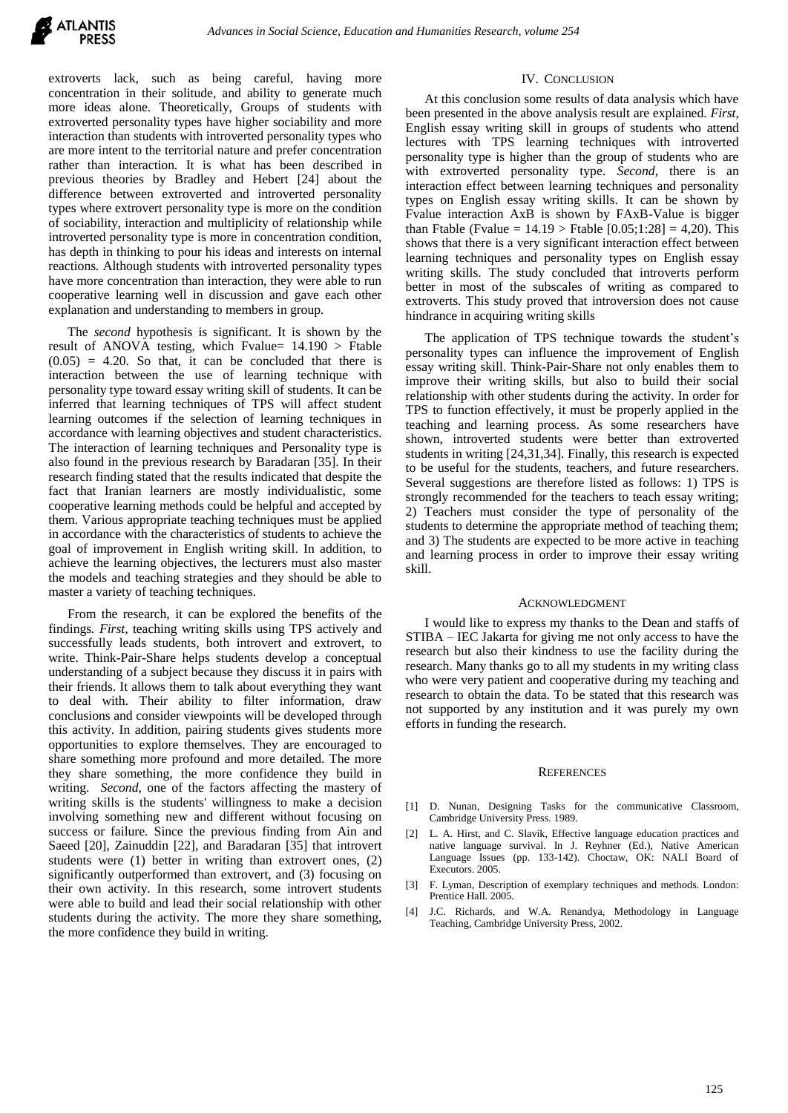

extroverts lack, such as being careful, having more concentration in their solitude, and ability to generate much more ideas alone. Theoretically, Groups of students with extroverted personality types have higher sociability and more interaction than students with introverted personality types who are more intent to the territorial nature and prefer concentration rather than interaction. It is what has been described in previous theories by Bradley and Hebert [24] about the difference between extroverted and introverted personality types where extrovert personality type is more on the condition of sociability, interaction and multiplicity of relationship while introverted personality type is more in concentration condition, has depth in thinking to pour his ideas and interests on internal reactions. Although students with introverted personality types have more concentration than interaction, they were able to run cooperative learning well in discussion and gave each other explanation and understanding to members in group.

The *second* hypothesis is significant. It is shown by the result of ANOVA testing, which Fvalue= 14.190 > Ftable  $(0.05)$  = 4.20. So that, it can be concluded that there is interaction between the use of learning technique with personality type toward essay writing skill of students. It can be inferred that learning techniques of TPS will affect student learning outcomes if the selection of learning techniques in accordance with learning objectives and student characteristics. The interaction of learning techniques and Personality type is also found in the previous research by Baradaran [35]. In their research finding stated that the results indicated that despite the fact that Iranian learners are mostly individualistic, some cooperative learning methods could be helpful and accepted by them. Various appropriate teaching techniques must be applied in accordance with the characteristics of students to achieve the goal of improvement in English writing skill. In addition, to achieve the learning objectives, the lecturers must also master the models and teaching strategies and they should be able to master a variety of teaching techniques.

From the research, it can be explored the benefits of the findings*. First*, teaching writing skills using TPS actively and successfully leads students, both introvert and extrovert, to write. Think-Pair-Share helps students develop a conceptual understanding of a subject because they discuss it in pairs with their friends. It allows them to talk about everything they want to deal with. Their ability to filter information, draw conclusions and consider viewpoints will be developed through this activity. In addition, pairing students gives students more opportunities to explore themselves. They are encouraged to share something more profound and more detailed. The more they share something, the more confidence they build in writing. *Second*, one of the factors affecting the mastery of writing skills is the students' willingness to make a decision involving something new and different without focusing on success or failure. Since the previous finding from Ain and Saeed [20], Zainuddin [22], and Baradaran [35] that introvert students were (1) better in writing than extrovert ones, (2) significantly outperformed than extrovert, and (3) focusing on their own activity. In this research, some introvert students were able to build and lead their social relationship with other students during the activity. The more they share something, the more confidence they build in writing.

## IV. CONCLUSION

At this conclusion some results of data analysis which have been presented in the above analysis result are explained. *First*, English essay writing skill in groups of students who attend lectures with TPS learning techniques with introverted personality type is higher than the group of students who are with extroverted personality type. *Second*, there is an interaction effect between learning techniques and personality types on English essay writing skills. It can be shown by Fvalue interaction AxB is shown by FAxB-Value is bigger than Ftable (Fvalue =  $14.19$ ) Ftable  $[0.05;1:28] = 4,20$ ). This shows that there is a very significant interaction effect between learning techniques and personality types on English essay writing skills. The study concluded that introverts perform better in most of the subscales of writing as compared to extroverts. This study proved that introversion does not cause hindrance in acquiring writing skills

The application of TPS technique towards the student's personality types can influence the improvement of English essay writing skill. Think-Pair-Share not only enables them to improve their writing skills, but also to build their social relationship with other students during the activity. In order for TPS to function effectively, it must be properly applied in the teaching and learning process. As some researchers have shown, introverted students were better than extroverted students in writing [24,31,34]. Finally, this research is expected to be useful for the students, teachers, and future researchers. Several suggestions are therefore listed as follows: 1) TPS is strongly recommended for the teachers to teach essay writing; 2) Teachers must consider the type of personality of the students to determine the appropriate method of teaching them; and 3) The students are expected to be more active in teaching and learning process in order to improve their essay writing skill.

#### ACKNOWLEDGMENT

I would like to express my thanks to the Dean and staffs of STIBA – IEC Jakarta for giving me not only access to have the research but also their kindness to use the facility during the research. Many thanks go to all my students in my writing class who were very patient and cooperative during my teaching and research to obtain the data. To be stated that this research was not supported by any institution and it was purely my own efforts in funding the research.

#### **REFERENCES**

- [1] D. Nunan, Designing Tasks for the communicative Classroom, Cambridge University Press. 1989.
- [2] L. A. Hirst, and C. Slavik, Effective language education practices and native language survival. In J. Reyhner (Ed.), Native American Language Issues (pp. 133-142). Choctaw, OK: NALI Board of Executors. 2005.
- [3] F. Lyman, Description of exemplary techniques and methods. London: Prentice Hall. 2005.
- [4] J.C. Richards, and W.A. Renandya, Methodology in Language Teaching, Cambridge University Press, 2002.